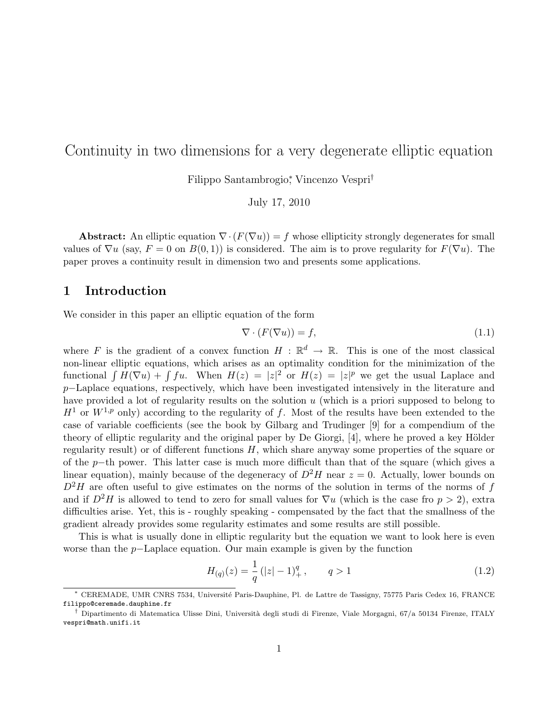# Continuity in two dimensions for a very degenerate elliptic equation

Filippo Santambrogio<sup>∗</sup> , Vincenzo Vespri†

July 17, 2010

Abstract: An elliptic equation  $\nabla \cdot (F(\nabla u)) = f$  whose ellipticity strongly degenerates for small values of  $\nabla u$  (say,  $F = 0$  on  $B(0, 1)$ ) is considered. The aim is to prove regularity for  $F(\nabla u)$ . The paper proves a continuity result in dimension two and presents some applications.

### 1 Introduction

We consider in this paper an elliptic equation of the form

$$
\nabla \cdot (F(\nabla u)) = f,\tag{1.1}
$$

where F is the gradient of a convex function  $H : \mathbb{R}^d \to \mathbb{R}$ . This is one of the most classical non-linear elliptic equations, which arises as an optimality condition for the minimization of the functional  $\int H(\nabla u) + \int fu$ . When  $H(z) = |z|^2$  or  $H(z) = |z|^p$  we get the usual Laplace and p–Laplace equations, respectively, which have been investigated intensively in the literature and have provided a lot of regularity results on the solution  $u$  (which is a priori supposed to belong to  $H^1$  or  $W^{1,p}$  only) according to the regularity of f. Most of the results have been extended to the case of variable coefficients (see the book by Gilbarg and Trudinger [9] for a compendium of the theory of elliptic regularity and the original paper by De Giorgi,  $[4]$ , where he proved a key Hölder regularity result) or of different functions  $H$ , which share anyway some properties of the square or of the p−th power. This latter case is much more difficult than that of the square (which gives a linear equation), mainly because of the degeneracy of  $D^2H$  near  $z = 0$ . Actually, lower bounds on  $D^2H$  are often useful to give estimates on the norms of the solution in terms of the norms of f and if  $D^2H$  is allowed to tend to zero for small values for  $\nabla u$  (which is the case fro  $p > 2$ ), extra difficulties arise. Yet, this is - roughly speaking - compensated by the fact that the smallness of the gradient already provides some regularity estimates and some results are still possible.

This is what is usually done in elliptic regularity but the equation we want to look here is even worse than the p−Laplace equation. Our main example is given by the function

$$
H_{(q)}(z) = \frac{1}{q} (|z| - 1)^q_+, \qquad q > 1
$$
\n(1.2)

CEREMADE, UMR CNRS 7534, Université Paris-Dauphine, Pl. de Lattre de Tassigny, 75775 Paris Cedex 16, FRANCE filippo@ceremade.dauphine.fr

<sup>†</sup> Dipartimento di Matematica Ulisse Dini, Universit`a degli studi di Firenze, Viale Morgagni, 67/a 50134 Firenze, ITALY vespri@math.unifi.it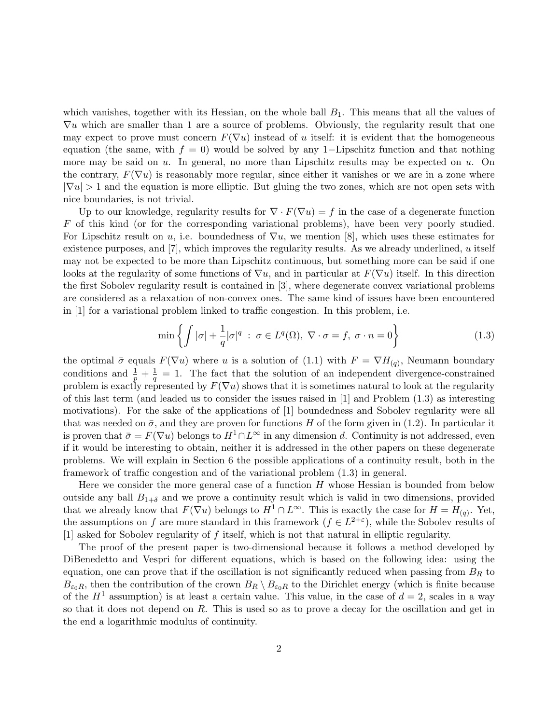which vanishes, together with its Hessian, on the whole ball  $B_1$ . This means that all the values of  $\nabla u$  which are smaller than 1 are a source of problems. Obviously, the regularity result that one may expect to prove must concern  $F(\nabla u)$  instead of u itself: it is evident that the homogeneous equation (the same, with  $f = 0$ ) would be solved by any 1–Lipschitz function and that nothing more may be said on u. In general, no more than Lipschitz results may be expected on u. On the contrary,  $F(\nabla u)$  is reasonably more regular, since either it vanishes or we are in a zone where  $|\nabla u| > 1$  and the equation is more elliptic. But gluing the two zones, which are not open sets with nice boundaries, is not trivial.

Up to our knowledge, regularity results for  $\nabla \cdot F(\nabla u) = f$  in the case of a degenerate function F of this kind (or for the corresponding variational problems), have been very poorly studied. For Lipschitz result on u, i.e. boundedness of  $\nabla u$ , we mention [8], which uses these estimates for existence purposes, and  $[7]$ , which improves the regularity results. As we already underlined, u itself may not be expected to be more than Lipschitz continuous, but something more can be said if one looks at the regularity of some functions of  $\nabla u$ , and in particular at  $F(\nabla u)$  itself. In this direction the first Sobolev regularity result is contained in [3], where degenerate convex variational problems are considered as a relaxation of non-convex ones. The same kind of issues have been encountered in [1] for a variational problem linked to traffic congestion. In this problem, i.e.

$$
\min\left\{\int |\sigma| + \frac{1}{q} |\sigma|^q \; : \; \sigma \in L^q(\Omega), \; \nabla \cdot \sigma = f, \; \sigma \cdot n = 0\right\} \tag{1.3}
$$

the optimal  $\bar{\sigma}$  equals  $F(\nabla u)$  where u is a solution of (1.1) with  $F = \nabla H_{(q)}$ , Neumann boundary conditions and  $\frac{1}{p} + \frac{1}{q} = 1$ . The fact that the solution of an independent divergence-constrained problem is exactly represented by  $F(\nabla u)$  shows that it is sometimes natural to look at the regularity of this last term (and leaded us to consider the issues raised in [1] and Problem (1.3) as interesting motivations). For the sake of the applications of [1] boundedness and Sobolev regularity were all that was needed on  $\bar{\sigma}$ , and they are proven for functions H of the form given in (1.2). In particular it is proven that  $\bar{\sigma} = F(\nabla u)$  belongs to  $H^1 \cap L^{\infty}$  in any dimension d. Continuity is not addressed, even if it would be interesting to obtain, neither it is addressed in the other papers on these degenerate problems. We will explain in Section 6 the possible applications of a continuity result, both in the framework of traffic congestion and of the variational problem (1.3) in general.

Here we consider the more general case of a function  $H$  whose Hessian is bounded from below outside any ball  $B_{1+\delta}$  and we prove a continuity result which is valid in two dimensions, provided that we already know that  $F(\nabla u)$  belongs to  $H^1 \cap L^{\infty}$ . This is exactly the case for  $H = H_{(q)}$ . Yet, the assumptions on f are more standard in this framework  $(f \in L^{2+\epsilon})$ , while the Sobolev results of [1] asked for Sobolev regularity of f itself, which is not that natural in elliptic regularity.

The proof of the present paper is two-dimensional because it follows a method developed by DiBenedetto and Vespri for different equations, which is based on the following idea: using the equation, one can prove that if the oscillation is not significantly reduced when passing from  $B_R$  to  $B_{\varepsilon_0R}$ , then the contribution of the crown  $B_R \setminus B_{\varepsilon_0R}$  to the Dirichlet energy (which is finite because of the  $H<sup>1</sup>$  assumption) is at least a certain value. This value, in the case of  $d = 2$ , scales in a way so that it does not depend on R. This is used so as to prove a decay for the oscillation and get in the end a logarithmic modulus of continuity.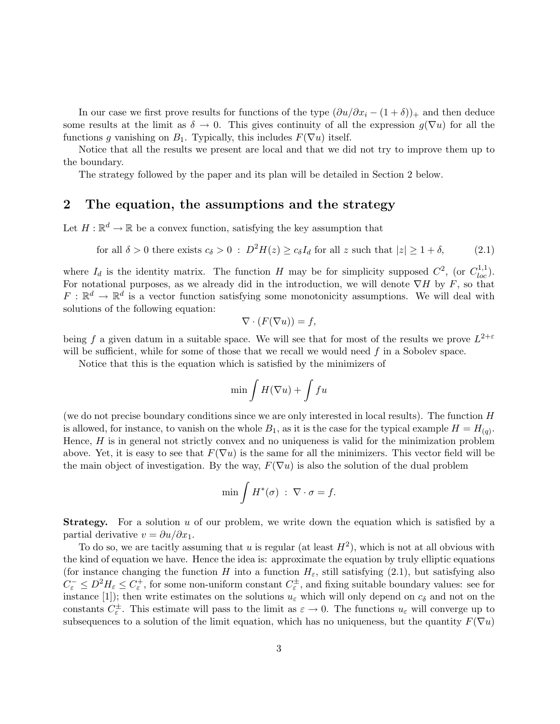In our case we first prove results for functions of the type  $(\partial u/\partial x_i - (1+\delta))_+$  and then deduce some results at the limit as  $\delta \to 0$ . This gives continuity of all the expression  $g(\nabla u)$  for all the functions g vanishing on  $B_1$ . Typically, this includes  $F(\nabla u)$  itself.

Notice that all the results we present are local and that we did not try to improve them up to the boundary.

The strategy followed by the paper and its plan will be detailed in Section 2 below.

#### 2 The equation, the assumptions and the strategy

Let  $H: \mathbb{R}^d \to \mathbb{R}$  be a convex function, satisfying the key assumption that

for all 
$$
\delta > 0
$$
 there exists  $c_{\delta} > 0$  :  $D^2 H(z) \ge c_{\delta} I_d$  for all z such that  $|z| \ge 1 + \delta$ , (2.1)

where  $I_d$  is the identity matrix. The function H may be for simplicity supposed  $C^2$ , (or  $C^{1,1}_{loc}$ ). For notational purposes, as we already did in the introduction, we will denote  $\nabla H$  by F, so that  $F: \mathbb{R}^d \to \mathbb{R}^d$  is a vector function satisfying some monotonicity assumptions. We will deal with solutions of the following equation:

$$
\nabla \cdot (F(\nabla u)) = f,
$$

being f a given datum in a suitable space. We will see that for most of the results we prove  $L^{2+\varepsilon}$ will be sufficient, while for some of those that we recall we would need  $f$  in a Sobolev space.

Notice that this is the equation which is satisfied by the minimizers of

$$
\min \int H(\nabla u)+\int fu
$$

(we do not precise boundary conditions since we are only interested in local results). The function H is allowed, for instance, to vanish on the whole  $B_1$ , as it is the case for the typical example  $H = H_{(q)}$ . Hence,  $H$  is in general not strictly convex and no uniqueness is valid for the minimization problem above. Yet, it is easy to see that  $F(\nabla u)$  is the same for all the minimizers. This vector field will be the main object of investigation. By the way,  $F(\nabla u)$  is also the solution of the dual problem

$$
\min \int H^*(\sigma) \; : \; \nabla \cdot \sigma = f.
$$

**Strategy.** For a solution u of our problem, we write down the equation which is satisfied by a partial derivative  $v = \partial u / \partial x_1$ .

To do so, we are tacitly assuming that u is regular (at least  $H^2$ ), which is not at all obvious with the kind of equation we have. Hence the idea is: approximate the equation by truly elliptic equations (for instance changing the function H into a function  $H_{\varepsilon}$ , still satisfying (2.1), but satisfying also  $C_{\varepsilon}^{-} \leq D^2 H_{\varepsilon} \leq C_{\varepsilon}^{+}$ , for some non-uniform constant  $C_{\varepsilon}^{\pm}$ , and fixing suitable boundary values: see for instance [1]); then write estimates on the solutions  $u_{\varepsilon}$  which will only depend on  $c_{\delta}$  and not on the constants  $C_{\varepsilon}^{\pm}$ . This estimate will pass to the limit as  $\varepsilon \to 0$ . The functions  $u_{\varepsilon}$  will converge up to subsequences to a solution of the limit equation, which has no uniqueness, but the quantity  $F(\nabla u)$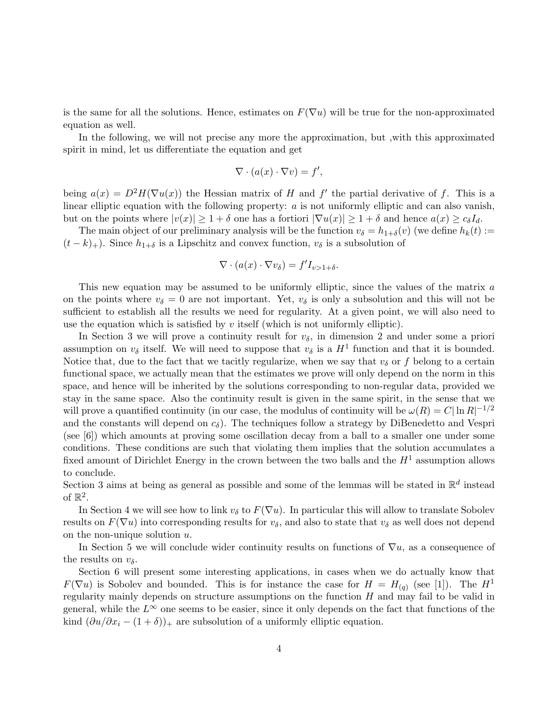is the same for all the solutions. Hence, estimates on  $F(\nabla u)$  will be true for the non-approximated equation as well.

In the following, we will not precise any more the approximation, but ,with this approximated spirit in mind, let us differentiate the equation and get

$$
\nabla \cdot (a(x) \cdot \nabla v) = f',
$$

being  $a(x) = D^2H(\nabla u(x))$  the Hessian matrix of H and f' the partial derivative of f. This is a linear elliptic equation with the following property:  $a$  is not uniformly elliptic and can also vanish, but on the points where  $|v(x)| \geq 1 + \delta$  one has a fortiori  $|\nabla u(x)| \geq 1 + \delta$  and hence  $a(x) \geq c_{\delta}I_{d}$ .

The main object of our preliminary analysis will be the function  $v_{\delta} = h_{1+\delta}(v)$  (we define  $h_k(t) :=$  $(t - k)_+$ ). Since  $h_{1+\delta}$  is a Lipschitz and convex function,  $v_{\delta}$  is a subsolution of

$$
\nabla \cdot (a(x) \cdot \nabla v_{\delta}) = f' I_{v > 1 + \delta}.
$$

This new equation may be assumed to be uniformly elliptic, since the values of the matrix a on the points where  $v_{\delta} = 0$  are not important. Yet,  $v_{\delta}$  is only a subsolution and this will not be sufficient to establish all the results we need for regularity. At a given point, we will also need to use the equation which is satisfied by  $v$  itself (which is not uniformly elliptic).

In Section 3 we will prove a continuity result for  $v_{\delta}$ , in dimension 2 and under some a priori assumption on  $v_{\delta}$  itself. We will need to suppose that  $v_{\delta}$  is a  $H^1$  function and that it is bounded. Notice that, due to the fact that we tacitly regularize, when we say that  $v_{\delta}$  or f belong to a certain functional space, we actually mean that the estimates we prove will only depend on the norm in this space, and hence will be inherited by the solutions corresponding to non-regular data, provided we stay in the same space. Also the continuity result is given in the same spirit, in the sense that we will prove a quantified continuity (in our case, the modulus of continuity will be  $\omega(R) = C |\ln R|^{-1/2}$ and the constants will depend on  $c_{\delta}$ ). The techniques follow a strategy by DiBenedetto and Vespri (see [6]) which amounts at proving some oscillation decay from a ball to a smaller one under some conditions. These conditions are such that violating them implies that the solution accumulates a fixed amount of Dirichlet Energy in the crown between the two balls and the  $H<sup>1</sup>$  assumption allows to conclude.

Section 3 aims at being as general as possible and some of the lemmas will be stated in  $\mathbb{R}^d$  instead of  $\mathbb{R}^2$ .

In Section 4 we will see how to link  $v_{\delta}$  to  $F(\nabla u)$ . In particular this will allow to translate Sobolev results on  $F(\nabla u)$  into corresponding results for  $v_{\delta}$ , and also to state that  $v_{\delta}$  as well does not depend on the non-unique solution  $u$ .

In Section 5 we will conclude wider continuity results on functions of  $\nabla u$ , as a consequence of the results on  $v_{\delta}$ .

Section 6 will present some interesting applications, in cases when we do actually know that  $F(\nabla u)$  is Sobolev and bounded. This is for instance the case for  $H = H_{(q)}$  (see [1]). The  $H^1$ regularity mainly depends on structure assumptions on the function  $H$  and may fail to be valid in general, while the  $L^{\infty}$  one seems to be easier, since it only depends on the fact that functions of the kind  $(\partial u/\partial x_i - (1+\delta))_+$  are subsolution of a uniformly elliptic equation.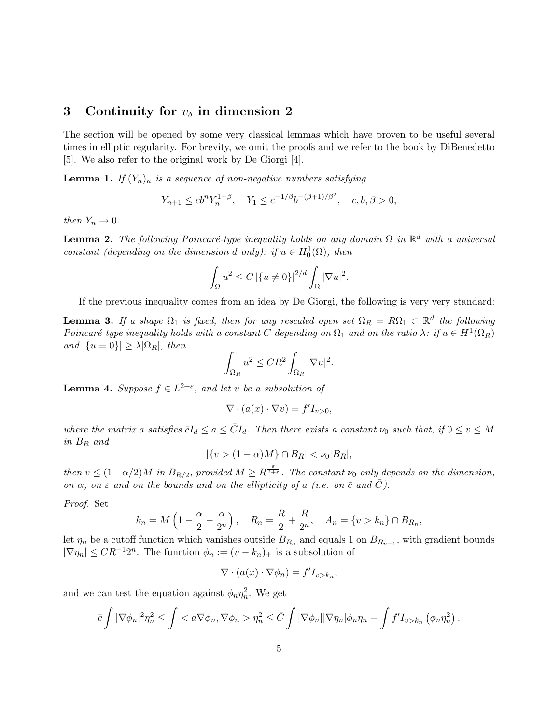## 3 Continuity for  $v_{\delta}$  in dimension 2

The section will be opened by some very classical lemmas which have proven to be useful several times in elliptic regularity. For brevity, we omit the proofs and we refer to the book by DiBenedetto [5]. We also refer to the original work by De Giorgi [4].

**Lemma 1.** If  $(Y_n)_n$  is a sequence of non-negative numbers satisfying

$$
Y_{n+1} \le cb^n Y_n^{1+\beta}, \quad Y_1 \le c^{-1/\beta} b^{-(\beta+1)/\beta^2}, \quad c, b, \beta > 0,
$$

then  $Y_n \to 0$ .

**Lemma 2.** The following Poincaré-type inequality holds on any domain  $\Omega$  in  $\mathbb{R}^d$  with a universal constant (depending on the dimension d only): if  $u \in H_0^1(\Omega)$ , then

$$
\int_{\Omega} u^2 \le C \left|\{u \neq 0\}\right|^{2/d} \int_{\Omega} |\nabla u|^2.
$$

If the previous inequality comes from an idea by De Giorgi, the following is very very standard:

**Lemma 3.** If a shape  $\Omega_1$  is fixed, then for any rescaled open set  $\Omega_R = R\Omega_1 \subset \mathbb{R}^d$  the following Poincaré-type inequality holds with a constant C depending on  $\Omega_1$  and on the ratio  $\lambda$ : if  $u \in H^1(\Omega_R)$ and  $|\{u = 0\}| \geq \lambda |\Omega_R|$ , then

$$
\int_{\Omega_R} u^2 \leq CR^2 \int_{\Omega_R} |\nabla u|^2.
$$

**Lemma 4.** Suppose  $f \in L^{2+\varepsilon}$ , and let v be a subsolution of

$$
\nabla \cdot (a(x) \cdot \nabla v) = f' I_{v>0},
$$

where the matrix a satisfies  $\bar{c}I_d \le a \le \bar{C}I_d$ . Then there exists a constant  $\nu_0$  such that, if  $0 \le v \le M$ in B<sup>R</sup> and

$$
|\{v > (1 - \alpha)M\} \cap B_R| < \nu_0 |B_R|,
$$

then  $v \leq (1-\alpha/2)M$  in  $B_{R/2}$ , provided  $M \geq R^{\frac{\varepsilon}{2+\varepsilon}}$ . The constant  $\nu_0$  only depends on the dimension, on  $\alpha$ , on  $\varepsilon$  and on the bounds and on the ellipticity of a (i.e. on  $\bar{c}$  and C).

Proof. Set

$$
k_n = M\left(1 - \frac{\alpha}{2} - \frac{\alpha}{2^n}\right), \quad R_n = \frac{R}{2} + \frac{R}{2^n}, \quad A_n = \{v > k_n\} \cap B_{R_n},
$$

let  $\eta_n$  be a cutoff function which vanishes outside  $B_{R_n}$  and equals 1 on  $B_{R_{n+1}}$ , with gradient bounds  $|\nabla \eta_n| \leq CR^{-1}2^n$ . The function  $\phi_n := (v - k_n)_+$  is a subsolution of

$$
\nabla \cdot (a(x) \cdot \nabla \phi_n) = f' I_{v > k_n},
$$

and we can test the equation against  $\phi_n \eta_n^2$ . We get

$$
\bar{c}\int |\nabla \phi_n|^2\eta_n^2 \leq \int \langle a\nabla \phi_n, \nabla \phi_n \rangle \eta_n^2 \leq \bar{C}\int |\nabla \phi_n||\nabla \eta_n|\phi_n\eta_n + \int f'I_{v>k_n}(\phi_n\eta_n^2).
$$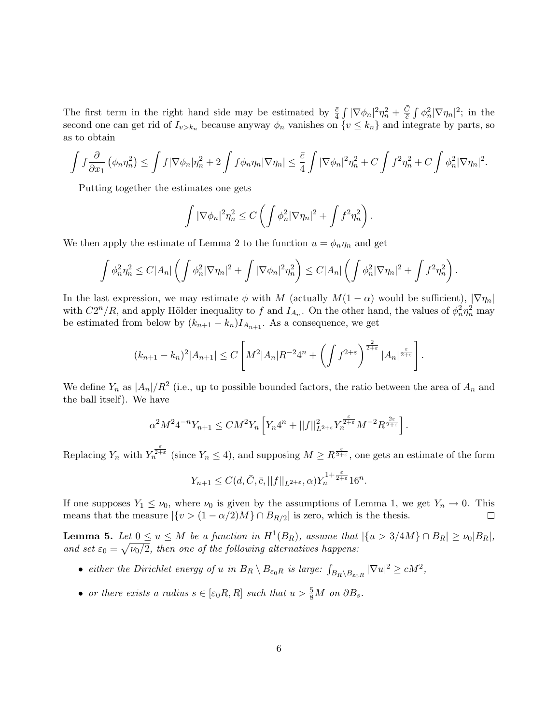The first term in the right hand side may be estimated by  $\frac{\bar{c}}{4} \int |\nabla \phi_n|^2 \eta_n^2 + \frac{\bar{C}}{\bar{c}}$  $\frac{C}{\bar{c}}\int \phi_n^2 |\nabla \eta_n|^2$ ; in the second one can get rid of  $I_{v>k_n}$  because anyway  $\phi_n$  vanishes on  $\{v \leq k_n\}$  and integrate by parts, so as to obtain

$$
\int f \frac{\partial}{\partial x_1} (\phi_n \eta_n^2) \le \int f |\nabla \phi_n| \eta_n^2 + 2 \int f \phi_n \eta_n |\nabla \eta_n| \le \frac{\bar{c}}{4} \int |\nabla \phi_n|^2 \eta_n^2 + C \int f^2 \eta_n^2 + C \int \phi_n^2 |\nabla \eta_n|^2.
$$

Putting together the estimates one gets

$$
\int |\nabla \phi_n|^2 \eta_n^2 \le C \left( \int \phi_n^2 |\nabla \eta_n|^2 + \int f^2 \eta_n^2 \right).
$$

We then apply the estimate of Lemma 2 to the function  $u = \phi_n \eta_n$  and get

$$
\int \phi_n^2 \eta_n^2 \leq C |A_n| \left( \int \phi_n^2 |\nabla \eta_n|^2 + \int |\nabla \phi_n|^2 \eta_n^2 \right) \leq C |A_n| \left( \int \phi_n^2 |\nabla \eta_n|^2 + \int f^2 \eta_n^2 \right).
$$

In the last expression, we may estimate  $\phi$  with M (actually  $M(1-\alpha)$  would be sufficient),  $|\nabla \eta_n|$ with  $C2^n/R$ , and apply Hölder inequality to f and  $I_{A_n}$ . On the other hand, the values of  $\phi_n^2 \eta_n^2$  may be estimated from below by  $(k_{n+1} - k_n)I_{A_{n+1}}$ . As a consequence, we get

$$
(k_{n+1}-k_n)^2|A_{n+1}| \leq C\left[M^2|A_n|R^{-2}4^n+\left(\int f^{2+\varepsilon}\right)^{\frac{2}{2+\varepsilon}}|A_n|^{\frac{\varepsilon}{2+\varepsilon}}\right].
$$

We define  $Y_n$  as  $|A_n|/R^2$  (i.e., up to possible bounded factors, the ratio between the area of  $A_n$  and the ball itself). We have

$$
\alpha^2 M^2 4^{-n} Y_{n+1} \leq C M^2 Y_n \left[ Y_n 4^n + ||f||_{L^{2+\varepsilon}}^2 Y_n^{\frac{\varepsilon}{2+\varepsilon}} M^{-2} R^{\frac{2\varepsilon}{2+\varepsilon}} \right].
$$

Replacing  $Y_n$  with  $Y_n^{\frac{\varepsilon}{2+\varepsilon}}$  (since  $Y_n \leq 4$ ), and supposing  $M \geq R^{\frac{\varepsilon}{2+\varepsilon}}$ , one gets an estimate of the form

$$
Y_{n+1} \le C(d, \bar{C}, \bar{c}, ||f||_{L^{2+\varepsilon}}, \alpha) Y_n^{1+\frac{\varepsilon}{2+\varepsilon}} 16^n.
$$

If one supposes  $Y_1 \leq \nu_0$ , where  $\nu_0$  is given by the assumptions of Lemma 1, we get  $Y_n \to 0$ . This means that the measure  $|\{v > (1 - \alpha/2)M\} \cap B_{R/2}|$  is zero, which is the thesis.  $\Box$ 

**Lemma 5.** Let  $0 \le u \le M$  be a function in  $H^1(B_R)$ , assume that  $|\{u > 3/4M\} \cap B_R| \ge \nu_0 |B_R|$ , and set  $\varepsilon_0 = \sqrt{\nu_0/2}$ , then one of the following alternatives happens:

- either the Dirichlet energy of u in  $B_R \setminus B_{\varepsilon_0 R}$  is large:  $\int_{B_R \setminus B_{\varepsilon_0 R}} |\nabla u|^2 \ge cM^2$ ,
- or there exists a radius  $s \in [\varepsilon_0 R, R]$  such that  $u > \frac{5}{8}M$  on  $\partial B_s$ .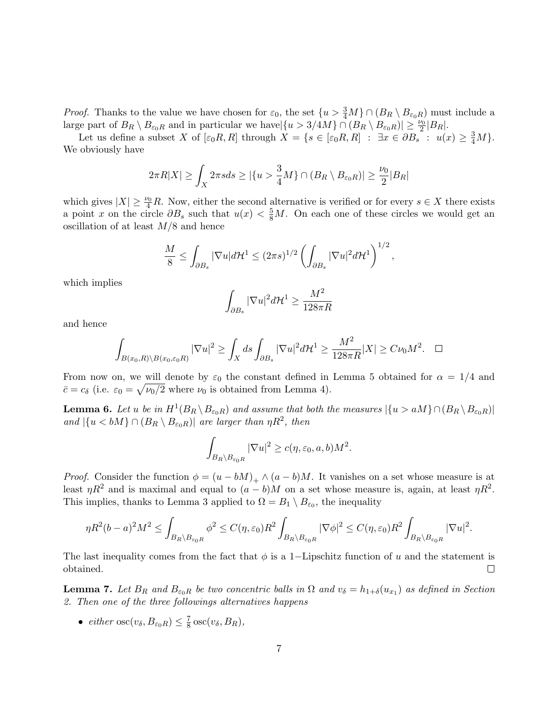*Proof.* Thanks to the value we have chosen for  $\varepsilon_0$ , the set  $\{u > \frac{3}{4}M\} \cap (B_R \setminus B_{\varepsilon_0 R})$  must include a large part of  $B_R \setminus B_{\varepsilon_0 R}$  and in particular we have  $|\{u > 3/4M\} \cap (B_R \setminus B_{\varepsilon_0 R})| \geq \frac{\nu_0}{2}|B_R|$ .

Let us define a subset X of  $[\varepsilon_0 R, R]$  through  $X = \{s \in [\varepsilon_0 R, R] : \exists x \in \partial B_s : u(x) \geq \frac{3}{4}M\}.$ We obviously have

$$
2\pi R|X| \ge \int_X 2\pi s ds \ge |\{u > \frac{3}{4}M\} \cap (B_R \setminus B_{\varepsilon_0 R})| \ge \frac{\nu_0}{2}|B_R|
$$

which gives  $|X| \geq \frac{\nu_0}{4}R$ . Now, either the second alternative is verified or for every  $s \in X$  there exists a point x on the circle  $\partial B_s$  such that  $u(x) < \frac{5}{8}M$ . On each one of these circles we would get an oscillation of at least  $M/8$  and hence

$$
\frac{M}{8} \le \int_{\partial B_s} |\nabla u| d\mathcal{H}^1 \le (2\pi s)^{1/2} \left( \int_{\partial B_s} |\nabla u|^2 d\mathcal{H}^1 \right)^{1/2},
$$

which implies

$$
\int_{\partial B_s} |\nabla u|^2 d\mathcal{H}^1 \ge \frac{M^2}{128\pi R}
$$

and hence

$$
\int_{B(x_0,R)\setminus B(x_0,\varepsilon_0 R)} |\nabla u|^2 \ge \int_X ds \int_{\partial B_s} |\nabla u|^2 d\mathcal{H}^1 \ge \frac{M^2}{128\pi R}|X| \ge C\nu_0 M^2. \quad \Box
$$

From now on, we will denote by  $\varepsilon_0$  the constant defined in Lemma 5 obtained for  $\alpha = 1/4$  and  $\bar{c} = c_{\delta}$  (i.e.  $\varepsilon_0 = \sqrt{\nu_0/2}$  where  $\nu_0$  is obtained from Lemma 4).

**Lemma 6.** Let u be in  $H^1(B_R \setminus B_{\varepsilon_0R})$  and assume that both the measures  $|\{u > aM\} \cap (B_R \setminus B_{\varepsilon_0R})|$ and  $|\{u < bM\} \cap (B_R \setminus B_{\varepsilon_0 R})|$  are larger than  $\eta R^2$ , then

$$
\int_{B_R \setminus B_{\varepsilon_0 R}} |\nabla u|^2 \ge c(\eta, \varepsilon_0, a, b) M^2.
$$

*Proof.* Consider the function  $\phi = (u - bM)_+ \wedge (a - b)M$ . It vanishes on a set whose measure is at least  $\eta R^2$  and is maximal and equal to  $(a - b)M$  on a set whose measure is, again, at least  $\eta R^2$ . This implies, thanks to Lemma 3 applied to  $\Omega = B_1 \setminus B_{\varepsilon_0}$ , the inequality

$$
\eta R^2 (b-a)^2 M^2 \le \int_{B_R \setminus B_{\varepsilon_0 R}} \phi^2 \le C(\eta, \varepsilon_0) R^2 \int_{B_R \setminus B_{\varepsilon_0 R}} |\nabla \phi|^2 \le C(\eta, \varepsilon_0) R^2 \int_{B_R \setminus B_{\varepsilon_0 R}} |\nabla u|^2.
$$

The last inequality comes from the fact that  $\phi$  is a 1–Lipschitz function of u and the statement is obtained.  $\Box$ 

**Lemma 7.** Let  $B_R$  and  $B_{\varepsilon_0 R}$  be two concentric balls in  $\Omega$  and  $v_\delta = h_{1+\delta}(u_{x_1})$  as defined in Section 2. Then one of the three followings alternatives happens

• either  $\operatorname{osc}(v_\delta, B_{\varepsilon_0 R}) \leq \frac{7}{8}$  $\frac{7}{8}\csc(v_\delta, B_R),$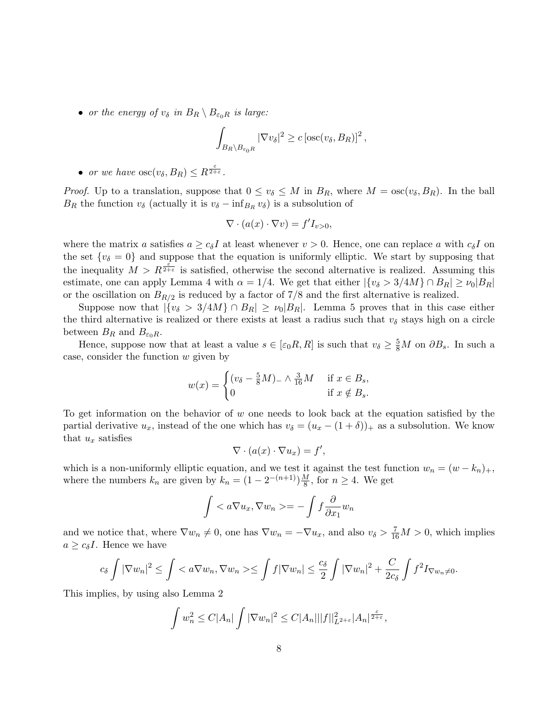• or the energy of  $v_{\delta}$  in  $B_R \setminus B_{\varepsilon_0 R}$  is large:

$$
\int_{B_R \setminus B_{\varepsilon_0 R}} |\nabla v_\delta|^2 \ge c \left[ \operatorname{osc}(v_\delta, B_R) \right]^2,
$$

• or we have  $\csc(v_\delta, B_R) \leq R^{\frac{\varepsilon}{2+\varepsilon}}$ .

*Proof.* Up to a translation, suppose that  $0 \le v_{\delta} \le M$  in  $B_R$ , where  $M = \csc(v_{\delta}, B_R)$ . In the ball  $B_R$  the function  $v_\delta$  (actually it is  $v_\delta - \inf_{B_R} v_\delta$ ) is a subsolution of

$$
\nabla \cdot (a(x) \cdot \nabla v) = f' I_{v>0},
$$

where the matrix a satisfies  $a \geq c_{\delta} I$  at least whenever  $v > 0$ . Hence, one can replace a with  $c_{\delta} I$  on the set  $\{v_{\delta}=0\}$  and suppose that the equation is uniformly elliptic. We start by supposing that the inequality  $M > R^{\frac{\varepsilon}{2+\varepsilon}}$  is satisfied, otherwise the second alternative is realized. Assuming this estimate, one can apply Lemma 4 with  $\alpha = 1/4$ . We get that either  $|\{v_{\delta} > 3/4M\} \cap B_R| \ge v_0|B_R|$ or the oscillation on  $B_{R/2}$  is reduced by a factor of 7/8 and the first alternative is realized.

Suppose now that  $|\{v_{\delta} > 3/4M\} \cap B_R| \ge v_0|B_R|$ . Lemma 5 proves that in this case either the third alternative is realized or there exists at least a radius such that  $v_{\delta}$  stays high on a circle between  $B_R$  and  $B_{\varepsilon_0 R}$ .

Hence, suppose now that at least a value  $s \in [\epsilon_0 R, R]$  is such that  $v_\delta \geq \frac{5}{8}M$  on  $\partial B_s$ . In such a case, consider the function  $w$  given by

$$
w(x) = \begin{cases} (v_{\delta} - \frac{5}{8}M)_{-} \wedge \frac{3}{16}M & \text{if } x \in B_{s}, \\ 0 & \text{if } x \notin B_{s}. \end{cases}
$$

To get information on the behavior of  $w$  one needs to look back at the equation satisfied by the partial derivative  $u_x$ , instead of the one which has  $v_\delta = (u_x - (1 + \delta))_{+}$  as a subsolution. We know that  $u_x$  satisfies

$$
\nabla \cdot (a(x) \cdot \nabla u_x) = f',
$$

which is a non-uniformly elliptic equation, and we test it against the test function  $w_n = (w - k_n)_+,$ where the numbers  $k_n$  are given by  $k_n = (1 - 2^{-(n+1)})\frac{M}{8}$  $\frac{M}{8}$ , for  $n \geq 4$ . We get

$$
\int =-\int f\frac{\partial}{\partial x_1}w_n
$$

and we notice that, where  $\nabla w_n \neq 0$ , one has  $\nabla w_n = -\nabla u_x$ , and also  $v_\delta > \frac{7}{16}M > 0$ , which implies  $a \geq c_{\delta}I$ . Hence we have

$$
c_{\delta} \int |\nabla w_n|^2 \le \int \langle a \nabla w_n, \nabla w_n \rangle \le \int f |\nabla w_n| \le \frac{c_{\delta}}{2} \int |\nabla w_n|^2 + \frac{C}{2c_{\delta}} \int f^2 I_{\nabla w_n \neq 0}.
$$

This implies, by using also Lemma 2

$$
\int w_n^2 \le C|A_n| \int |\nabla w_n|^2 \le C|A_n|||f||_{L^{2+\varepsilon}}^2|A_n|^{\frac{\varepsilon}{2+\varepsilon}},
$$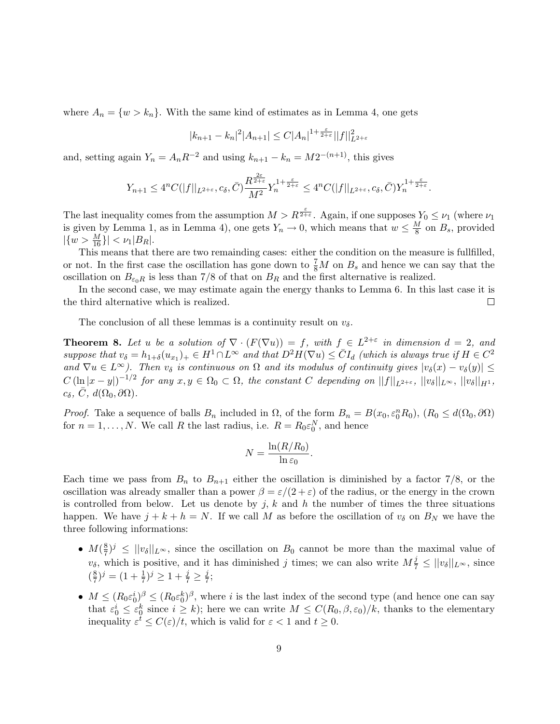where  $A_n = \{w > k_n\}$ . With the same kind of estimates as in Lemma 4, one gets

$$
|k_{n+1} - k_n|^2 |A_{n+1}| \le C |A_n|^{1 + \frac{\varepsilon}{2+\varepsilon}} ||f||_{L^{2+\varepsilon}}^2
$$

and, setting again  $Y_n = A_n R^{-2}$  and using  $k_{n+1} - k_n = M 2^{-(n+1)}$ , this gives

$$
Y_{n+1} \le 4^n C(|f||_{L^{2+\varepsilon}}, c_\delta, \bar{C}) \frac{R^{\frac{2\varepsilon}{2+\varepsilon}}}{M^2} Y_n^{1+\frac{\varepsilon}{2+\varepsilon}} \le 4^n C(|f||_{L^{2+\varepsilon}}, c_\delta, \bar{C}) Y_n^{1+\frac{\varepsilon}{2+\varepsilon}}.
$$

The last inequality comes from the assumption  $M > R^{\frac{\varepsilon}{2+\varepsilon}}$ . Again, if one supposes  $Y_0 \le \nu_1$  (where  $\nu_1$ is given by Lemma 1, as in Lemma 4), one gets  $Y_n \to 0$ , which means that  $w \leq \frac{M}{8}$  $\frac{M}{8}$  on  $B_s$ , provided  $|\{w > \frac{M}{16}\}| < \nu_1 |B_R|.$ 

This means that there are two remainding cases: either the condition on the measure is fullfilled, or not. In the first case the oscillation has gone down to  $\frac{7}{8}M$  on  $B_s$  and hence we can say that the oscillation on  $B_{\varepsilon_0R}$  is less than 7/8 of that on  $B_R$  and the first alternative is realized.

In the second case, we may estimate again the energy thanks to Lemma 6. In this last case it is the third alternative which is realized.  $\Box$ 

The conclusion of all these lemmas is a continuity result on  $v_{\delta}$ .

**Theorem 8.** Let u be a solution of  $\nabla \cdot (F(\nabla u)) = f$ , with  $f \in L^{2+\epsilon}$  in dimension  $d = 2$ , and suppose that  $v_{\delta} = h_{1+\delta}(u_{x_1})_+ \in H^1 \cap L^{\infty}$  and that  $D^2H(\nabla u) \leq \overline{C}I_d$  (which is always true if  $H \in C^2$ and  $\nabla u \in L^{\infty}$ ). Then  $v_{\delta}$  is continuous on  $\Omega$  and its modulus of continuity gives  $|v_{\delta}(x) - v_{\delta}(y)| \leq$  $C (\ln |x-y|)^{-1/2}$  for any  $x, y \in \Omega_0 \subset \Omega$ , the constant C depending on  $||f||_{L^{2+\varepsilon}}$ ,  $||v_\delta||_{L^{\infty}}$ ,  $||v_\delta||_{H^1}$ ,  $c_{\delta}, \bar{C}, d(\Omega_0, \partial \Omega).$ 

*Proof.* Take a sequence of balls  $B_n$  included in  $\Omega$ , of the form  $B_n = B(x_0, \varepsilon_0^n R_0)$ ,  $(R_0 \le d(\Omega_0, \partial \Omega)$ for  $n = 1, ..., N$ . We call R the last radius, i.e.  $R = R_0 \varepsilon_0^N$ , and hence

$$
N = \frac{\ln(R/R_0)}{\ln \varepsilon_0}.
$$

Each time we pass from  $B_n$  to  $B_{n+1}$  either the oscillation is diminished by a factor 7/8, or the oscillation was already smaller than a power  $\beta = \varepsilon/(2 + \varepsilon)$  of the radius, or the energy in the crown is controlled from below. Let us denote by j, k and h the number of times the three situations happen. We have  $j + k + h = N$ . If we call M as before the oscillation of  $v_{\delta}$  on  $B_N$  we have the three following informations:

- $\bullet M(\frac{8}{7})$  $\frac{8}{7}$ )<sup>j</sup>  $\leq$   $||v_{\delta}||_{L^{\infty}}$ , since the oscillation on  $B_0$  cannot be more than the maximal value of  $v_\delta$ , which is positive, and it has diminished j times; we can also write  $M_{7}^{\frac{1}{2}} \leq ||v_\delta||_{L^\infty}$ , since  $(\frac{8}{7})$  $(\frac{8}{7})^j = (1 + \frac{1}{7})^j \ge 1 + \frac{j}{7} \ge \frac{j}{7}$  $\frac{j}{7}$ ;
- $M \leq (R_0 \varepsilon_0^i)^{\beta} \leq (R_0 \varepsilon_0^k)^{\beta}$ , where i is the last index of the second type (and hence one can say that  $\varepsilon_0^i \leq \varepsilon_0^k$  since  $i \geq k$ ); here we can write  $M \leq C(R_0, \beta, \varepsilon_0)/k$ , thanks to the elementary inequality  $\varepsilon^t \leq C(\varepsilon)/t$ , which is valid for  $\varepsilon < 1$  and  $t \geq 0$ .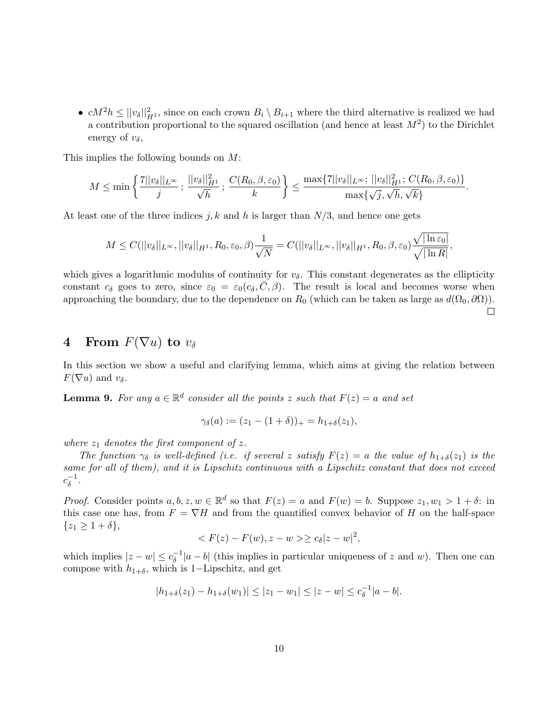•  $cM^2h \leq ||v_\delta||^2_{H^1}$ , since on each crown  $B_i \setminus B_{i+1}$  where the third alternative is realized we had a contribution proportional to the squared oscillation (and hence at least  $M^2$ ) to the Dirichlet energy of  $v_{\delta}$ ,

This implies the following bounds on M:

$$
M \le \min\left\{ \frac{7||v_\delta||_{L^\infty}}{j}; \frac{||v_\delta||_{H^1}^2}{\sqrt{h}}; \frac{C(R_0, \beta, \varepsilon_0)}{k} \right\} \le \frac{\max\{7||v_\delta||_{L^\infty}; ||v_\delta||_{H^1}^2; C(R_0, \beta, \varepsilon_0)\}}{\max\{\sqrt{j}, \sqrt{h}, \sqrt{k}\}}.
$$

At least one of the three indices j, k and h is larger than  $N/3$ , and hence one gets

$$
M \leq C(||v_\delta||_{L^\infty}, ||v_\delta||_{H^1}, R_0, \varepsilon_0, \beta) \frac{1}{\sqrt{N}} = C(||v_\delta||_{L^\infty}, ||v_\delta||_{H^1}, R_0, \beta, \varepsilon_0) \frac{\sqrt{|\ln \varepsilon_0|}}{\sqrt{|\ln R|}},
$$

which gives a logarithmic modulus of continuity for  $v_{\delta}$ . This constant degenerates as the ellipticity constant  $c_{\delta}$  goes to zero, since  $\varepsilon_0 = \varepsilon_0(c_{\delta}, \bar{C}, \beta)$ . The result is local and becomes worse when approaching the boundary, due to the dependence on  $R_0$  (which can be taken as large as  $d(\Omega_0, \partial \Omega)$ ).  $\Box$ 

# 4 From  $F(\nabla u)$  to  $v_{\delta}$

In this section we show a useful and clarifying lemma, which aims at giving the relation between  $F(\nabla u)$  and  $v_\delta$ .

**Lemma 9.** For any  $a \in \mathbb{R}^d$  consider all the points z such that  $F(z) = a$  and set

$$
\gamma_{\delta}(a) := (z_1 - (1 + \delta))_+ = h_{1+\delta}(z_1),
$$

where  $z_1$  denotes the first component of z.

The function  $\gamma_{\delta}$  is well-defined (i.e. if several z satisfy  $F(z) = a$  the value of  $h_{1+\delta}(z_1)$  is the same for all of them), and it is Lipschitz continuous with a Lipschitz constant that does not exceed  $c_{\delta}^{-1}$  $\overline{\delta}^{-1}$ .

*Proof.* Consider points  $a, b, z, w \in \mathbb{R}^d$  so that  $F(z) = a$  and  $F(w) = b$ . Suppose  $z_1, w_1 > 1 + \delta$ : in this case one has, from  $F = \nabla H$  and from the quantified convex behavior of H on the half-space  $\{z_1 \geq 1 + \delta\},\$ 

$$
\langle F(z) - F(w), z - w \rangle \ge c_{\delta} |z - w|^2,
$$

which implies  $|z-w| \leq c_{\delta}^{-1}$  $\delta^{-1}$ |a – b| (this implies in particular uniqueness of z and w). Then one can compose with  $h_{1+\delta}$ , which is 1–Lipschitz, and get

$$
|h_{1+\delta}(z_1) - h_{1+\delta}(w_1)| \le |z_1 - w_1| \le |z - w| \le c_{\delta}^{-1}|a - b|.
$$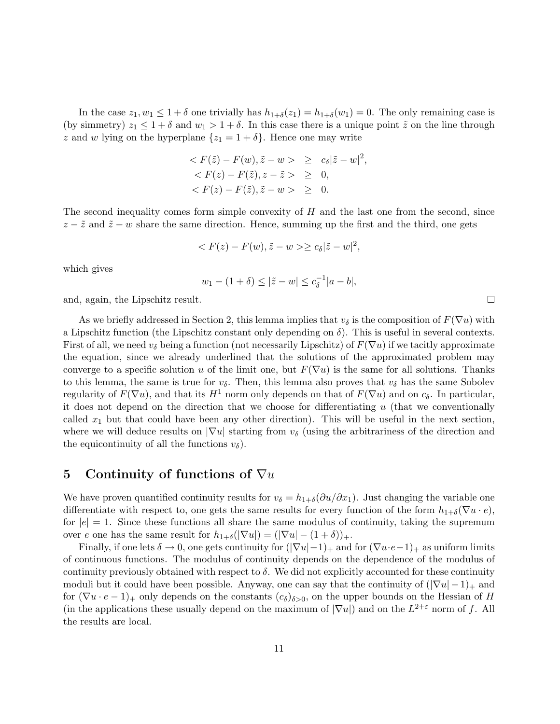In the case  $z_1, w_1 \leq 1 + \delta$  one trivially has  $h_{1+\delta}(z_1) = h_{1+\delta}(w_1) = 0$ . The only remaining case is (by simmetry)  $z_1 \leq 1 + \delta$  and  $w_1 > 1 + \delta$ . In this case there is a unique point  $\tilde{z}$  on the line through z and w lying on the hyperplane  $\{z_1 = 1 + \delta\}$ . Hence one may write

$$
\langle F(\tilde{z}) - F(w), \tilde{z} - w \rangle \ge c_{\delta} |\tilde{z} - w|^2,
$$
  

$$
\langle F(z) - F(\tilde{z}), z - \tilde{z} \rangle \ge 0,
$$
  

$$
\langle F(z) - F(\tilde{z}), \tilde{z} - w \rangle \ge 0.
$$

The second inequality comes form simple convexity of  $H$  and the last one from the second, since  $z - \tilde{z}$  and  $\tilde{z} - w$  share the same direction. Hence, summing up the first and the third, one gets

$$
\langle F(z) - F(w), \tilde{z} - w \rangle \ge c_{\delta} |\tilde{z} - w|^2,
$$

which gives

$$
w_1 - (1 + \delta) \le |\tilde{z} - w| \le c_{\delta}^{-1}|a - b|,
$$

and, again, the Lipschitz result.

As we briefly addressed in Section 2, this lemma implies that  $v_{\delta}$  is the composition of  $F(\nabla u)$  with a Lipschitz function (the Lipschitz constant only depending on  $\delta$ ). This is useful in several contexts. First of all, we need  $v_{\delta}$  being a function (not necessarily Lipschitz) of  $F(\nabla u)$  if we tacitly approximate the equation, since we already underlined that the solutions of the approximated problem may converge to a specific solution u of the limit one, but  $F(\nabla u)$  is the same for all solutions. Thanks to this lemma, the same is true for  $v_{\delta}$ . Then, this lemma also proves that  $v_{\delta}$  has the same Sobolev regularity of  $F(\nabla u)$ , and that its  $H^1$  norm only depends on that of  $F(\nabla u)$  and on  $c_{\delta}$ . In particular, it does not depend on the direction that we choose for differentiating  $u$  (that we conventionally called  $x_1$  but that could have been any other direction). This will be useful in the next section, where we will deduce results on  $|\nabla u|$  starting from  $v_{\delta}$  (using the arbitrariness of the direction and the equicontinuity of all the functions  $v_{\delta}$ ).

## 5 Continuity of functions of  $\nabla u$

We have proven quantified continuity results for  $v_{\delta} = h_{1+\delta}(\partial u/\partial x_1)$ . Just changing the variable one differentiate with respect to, one gets the same results for every function of the form  $h_{1+\delta}(\nabla u \cdot e)$ , for  $|e| = 1$ . Since these functions all share the same modulus of continuity, taking the supremum over e one has the same result for  $h_{1+\delta}(|\nabla u|) = (|\nabla u| - (1+\delta))_+.$ 

Finally, if one lets  $\delta \to 0$ , one gets continuity for  $(|\nabla u| - 1)_+$  and for  $(\nabla u \cdot e - 1)_+$  as uniform limits of continuous functions. The modulus of continuity depends on the dependence of the modulus of continuity previously obtained with respect to  $\delta$ . We did not explicitly accounted for these continuity moduli but it could have been possible. Anyway, one can say that the continuity of  $(|\nabla u| - 1)_+$  and for  $(\nabla u \cdot e - 1)_+$  only depends on the constants  $(c_{\delta})_{\delta>0}$ , on the upper bounds on the Hessian of H (in the applications these usually depend on the maximum of  $|\nabla u|$ ) and on the  $L^{2+\epsilon}$  norm of f. All the results are local.

 $\Box$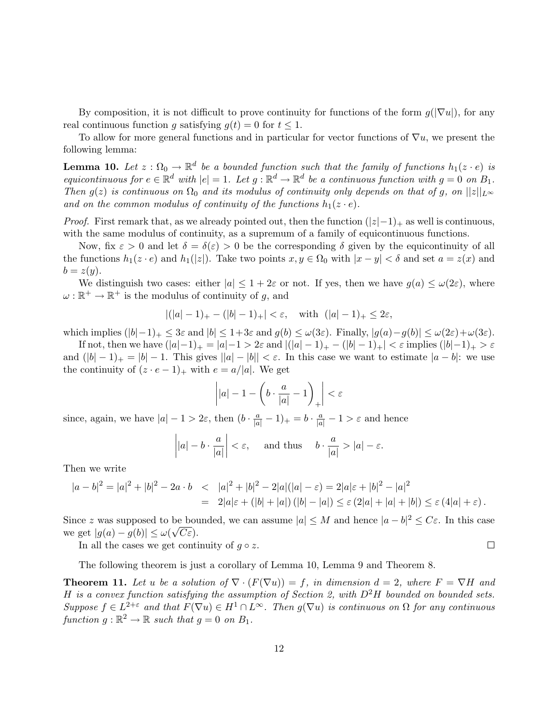By composition, it is not difficult to prove continuity for functions of the form  $g(|\nabla u|)$ , for any real continuous function g satisfying  $g(t) = 0$  for  $t \leq 1$ .

To allow for more general functions and in particular for vector functions of  $\nabla u$ , we present the following lemma:

**Lemma 10.** Let  $z : \Omega_0 \to \mathbb{R}^d$  be a bounded function such that the family of functions  $h_1(z \cdot e)$  is equicontinuous for  $e \in \mathbb{R}^d$  with  $|e| = 1$ . Let  $g : \mathbb{R}^d \to \mathbb{R}^d$  be a continuous function with  $g = 0$  on  $B_1$ . Then  $g(z)$  is continuous on  $\Omega_0$  and its modulus of continuity only depends on that of g, on  $||z||_{L^{\infty}}$ and on the common modulus of continuity of the functions  $h_1(z \cdot e)$ .

*Proof.* First remark that, as we already pointed out, then the function  $(|z|-1)_+$  as well is continuous, with the same modulus of continuity, as a supremum of a family of equicontinuous functions.

Now, fix  $\varepsilon > 0$  and let  $\delta = \delta(\varepsilon) > 0$  be the corresponding  $\delta$  given by the equicontinuity of all the functions  $h_1(z \cdot e)$  and  $h_1(|z|)$ . Take two points  $x, y \in \Omega_0$  with  $|x - y| < \delta$  and set  $a = z(x)$  and  $b = z(y)$ .

We distinguish two cases: either  $|a| \leq 1 + 2\varepsilon$  or not. If yes, then we have  $g(a) \leq \omega(2\varepsilon)$ , where  $\omega : \mathbb{R}^+ \to \mathbb{R}^+$  is the modulus of continuity of g, and

$$
|(|a|-1)_+ - (|b|-1)_+| < \varepsilon
$$
, with  $(|a|-1)_+ \leq 2\varepsilon$ ,

which implies  $(|b|-1)_+ \leq 3\varepsilon$  and  $|b| \leq 1+3\varepsilon$  and  $g(b) \leq \omega(3\varepsilon)$ . Finally,  $|g(a)-g(b)| \leq \omega(2\varepsilon)+\omega(3\varepsilon)$ .

If not, then we have  $(|a|-1)_+ = |a|-1 > 2\varepsilon$  and  $|(|a|-1)_+ - (|b|-1)_+| < \varepsilon$  implies  $(|b|-1)_+ > \varepsilon$ and  $(|b| - 1)_+ = |b| - 1$ . This gives  $||a| - |b|| < \varepsilon$ . In this case we want to estimate  $|a - b|$ : we use the continuity of  $(z \cdot e - 1)_+$  with  $e = a/|a|$ . We get

$$
\left| |a| - 1 - \left( b \cdot \frac{a}{|a|} - 1 \right)_{+} \right| < \varepsilon
$$

since, again, we have  $|a| - 1 > 2\varepsilon$ , then  $(b \cdot \frac{a}{|a|} - 1)_+ = b \cdot \frac{a}{|a|} - 1 > \varepsilon$  and hence

$$
\left| |a| - b \cdot \frac{a}{|a|} \right| < \varepsilon, \quad \text{and thus} \quad b \cdot \frac{a}{|a|} > |a| - \varepsilon.
$$

Then we write

$$
|a-b|^2 = |a|^2 + |b|^2 - 2a \cdot b \le |a|^2 + |b|^2 - 2|a|(|a| - \varepsilon) = 2|a|\varepsilon + |b|^2 - |a|^2
$$
  
= 2|a|\varepsilon + (|b| + |a|) (|b| - |a|) \le \varepsilon (2|a| + |a| + |b|) \le \varepsilon (4|a| + \varepsilon).

Since z was supposed to be bounded, we can assume  $|a| \leq M$  and hence  $|a - b|^2 \leq C\varepsilon$ . In this case we get  $|g(a) - g(b)| \leq \omega(\sqrt{C \varepsilon}).$ 

 $\Box$ 

In all the cases we get continuity of  $q \circ z$ .

The following theorem is just a corollary of Lemma 10, Lemma 9 and Theorem 8.

**Theorem 11.** Let u be a solution of  $\nabla \cdot (F(\nabla u)) = f$ , in dimension  $d = 2$ , where  $F = \nabla H$  and H is a convex function satisfying the assumption of Section 2, with  $D^2H$  bounded on bounded sets. Suppose  $f \in L^{2+\varepsilon}$  and that  $F(\nabla u) \in H^1 \cap L^{\infty}$ . Then  $g(\nabla u)$  is continuous on  $\Omega$  for any continuous function  $g : \mathbb{R}^2 \to \mathbb{R}$  such that  $g = 0$  on  $B_1$ .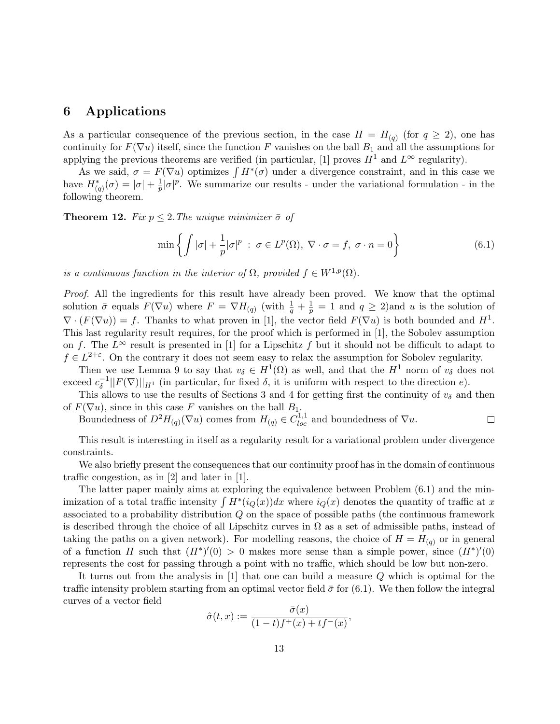### 6 Applications

As a particular consequence of the previous section, in the case  $H = H_{(q)}$  (for  $q \ge 2$ ), one has continuity for  $F(\nabla u)$  itself, since the function F vanishes on the ball  $B_1$  and all the assumptions for applying the previous theorems are verified (in particular, [1] proves  $H^1$  and  $L^{\infty}$  regularity).

As we said,  $\sigma = F(\nabla u)$  optimizes  $\int H^*(\sigma)$  under a divergence constraint, and in this case we have  $H^*_{(q)}(\sigma) = |\sigma| + \frac{1}{p}$  $\frac{1}{p}|\sigma|^p$ . We summarize our results - under the variational formulation - in the following theorem.

**Theorem 12.** Fix  $p \leq 2$ . The unique minimizer  $\bar{\sigma}$  of

$$
\min\left\{\int |\sigma| + \frac{1}{p} |\sigma|^p \; : \; \sigma \in L^p(\Omega), \; \nabla \cdot \sigma = f, \; \sigma \cdot n = 0\right\} \tag{6.1}
$$

is a continuous function in the interior of  $\Omega$ , provided  $f \in W^{1,p}(\Omega)$ .

Proof. All the ingredients for this result have already been proved. We know that the optimal solution  $\bar{\sigma}$  equals  $F(\nabla u)$  where  $F = \nabla H_{(q)}$  (with  $\frac{1}{q} + \frac{1}{p}$  $\frac{1}{p} = 1$  and  $q \ge 2$ ) and u is the solution of  $\nabla \cdot (F(\nabla u)) = f$ . Thanks to what proven in [1], the vector field  $F(\nabla u)$  is both bounded and  $H^1$ . This last regularity result requires, for the proof which is performed in [1], the Sobolev assumption on f. The  $L^{\infty}$  result is presented in [1] for a Lipschitz f but it should not be difficult to adapt to  $f \in L^{2+\varepsilon}$ . On the contrary it does not seem easy to relax the assumption for Sobolev regularity.

Then we use Lemma 9 to say that  $v_{\delta} \in H^1(\Omega)$  as well, and that the  $H^1$  norm of  $v_{\delta}$  does not exceed  $c_{\delta}^{-1}$  $\delta^{-1}||F(\nabla)||_{H^1}$  (in particular, for fixed  $\delta$ , it is uniform with respect to the direction e).

This allows to use the results of Sections 3 and 4 for getting first the continuity of  $v_{\delta}$  and then of  $F(\nabla u)$ , since in this case F vanishes on the ball  $B_1$ .

Boundedness of  $D^2H_{(q)}(\nabla u)$  comes from  $H_{(q)} \in C^{1,1}_{loc}$  and boundedness of  $\nabla u$ .  $\Box$ 

This result is interesting in itself as a regularity result for a variational problem under divergence constraints.

We also briefly present the consequences that our continuity proof has in the domain of continuous traffic congestion, as in [2] and later in [1].

The latter paper mainly aims at exploring the equivalence between Problem (6.1) and the minimization of a total traffic intensity  $\int H^*(i_Q(x))dx$  where  $i_Q(x)$  denotes the quantity of traffic at x associated to a probability distribution Q on the space of possible paths (the continuous framework is described through the choice of all Lipschitz curves in  $\Omega$  as a set of admissible paths, instead of taking the paths on a given network). For modelling reasons, the choice of  $H = H_{(q)}$  or in general of a function H such that  $(H^*)'(0) > 0$  makes more sense than a simple power, since  $(H^*)'(0)$ represents the cost for passing through a point with no traffic, which should be low but non-zero.

It turns out from the analysis in [1] that one can build a measure Q which is optimal for the traffic intensity problem starting from an optimal vector field  $\bar{\sigma}$  for (6.1). We then follow the integral curves of a vector field

$$
\hat{\sigma}(t,x) := \frac{\bar{\sigma}(x)}{(1-t)f^+(x)+tf^-(x)},
$$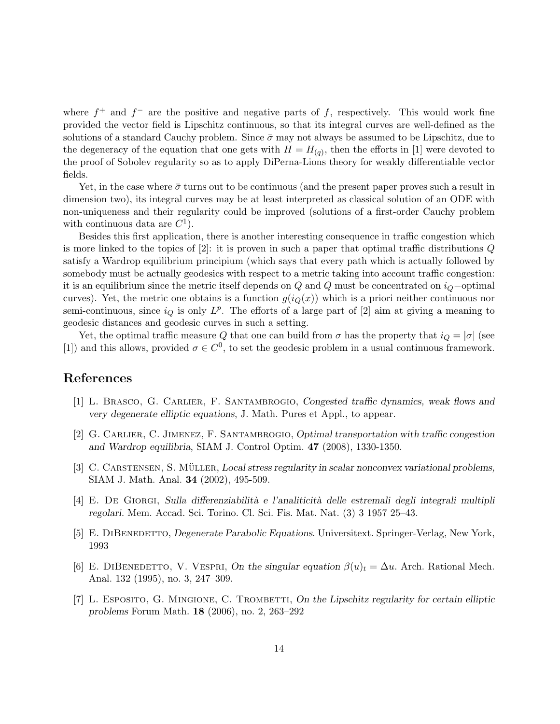where  $f^+$  and  $f^-$  are the positive and negative parts of f, respectively. This would work fine provided the vector field is Lipschitz continuous, so that its integral curves are well-defined as the solutions of a standard Cauchy problem. Since  $\bar{\sigma}$  may not always be assumed to be Lipschitz, due to the degeneracy of the equation that one gets with  $H = H_{(q)}$ , then the efforts in [1] were devoted to the proof of Sobolev regularity so as to apply DiPerna-Lions theory for weakly differentiable vector fields.

Yet, in the case where  $\bar{\sigma}$  turns out to be continuous (and the present paper proves such a result in dimension two), its integral curves may be at least interpreted as classical solution of an ODE with non-uniqueness and their regularity could be improved (solutions of a first-order Cauchy problem with continuous data are  $C^1$ ).

Besides this first application, there is another interesting consequence in traffic congestion which is more linked to the topics of [2]: it is proven in such a paper that optimal traffic distributions Q satisfy a Wardrop equilibrium principium (which says that every path which is actually followed by somebody must be actually geodesics with respect to a metric taking into account traffic congestion: it is an equilibrium since the metric itself depends on  $Q$  and  $Q$  must be concentrated on  $i_Q$ −optimal curves). Yet, the metric one obtains is a function  $g(i_Q(x))$  which is a priori neither continuous nor semi-continuous, since  $i_Q$  is only  $L^p$ . The efforts of a large part of [2] aim at giving a meaning to geodesic distances and geodesic curves in such a setting.

Yet, the optimal traffic measure Q that one can build from  $\sigma$  has the property that  $i_Q = |\sigma|$  (see [1]) and this allows, provided  $\sigma \in C^0$ , to set the geodesic problem in a usual continuous framework.

#### References

- [1] L. Brasco, G. Carlier, F. Santambrogio, Congested traffic dynamics, weak flows and very degenerate elliptic equations, J. Math. Pures et Appl., to appear.
- [2] G. CARLIER, C. JIMENEZ, F. SANTAMBROGIO, Optimal transportation with traffic congestion and Wardrop equilibria, SIAM J. Control Optim. 47 (2008), 1330-1350.
- [3] C. CARSTENSEN, S. MÜLLER, Local stress regularity in scalar nonconvex variational problems, SIAM J. Math. Anal. 34 (2002), 495-509.
- [4] E. De Giorgi, Sulla differenziabilit`a e l'analiticit`a delle estremali degli integrali multipli regolari. Mem. Accad. Sci. Torino. Cl. Sci. Fis. Mat. Nat. (3) 3 1957 25–43.
- [5] E. DIBENEDETTO, Degenerate Parabolic Equations. Universitext. Springer-Verlag, New York, 1993
- [6] E. DIBENEDETTO, V. VESPRI, On the singular equation  $\beta(u)_t = \Delta u$ . Arch. Rational Mech. Anal. 132 (1995), no. 3, 247–309.
- [7] L. ESPOSITO, G. MINGIONE, C. TROMBETTI, On the Lipschitz regularity for certain elliptic problems Forum Math. 18 (2006), no. 2, 263–292